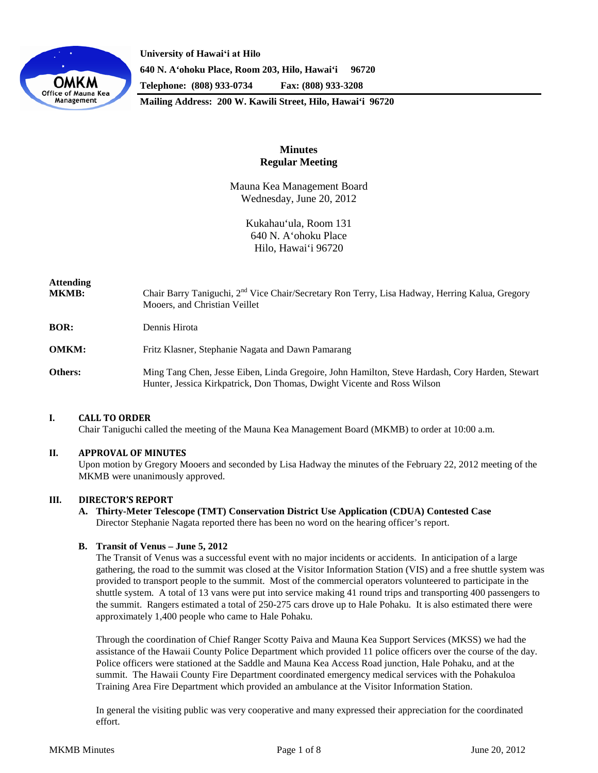

**University of Hawaiʻi at Hilo 640 N. A'ohoku Place, Room 203, Hilo, Hawai'i 96720 Telephone: (808) 933-0734 Fax: (808) 933-3208**

**Mailing Address: 200 W. Kawili Street, Hilo, Hawai'i 96720**

# **Minutes Regular Meeting**

Mauna Kea Management Board Wednesday, June 20, 2012

> Kukahau'ula, Room 131 640 N. A'ohoku Place Hilo, Hawai'i 96720

| <b>Attending</b><br><b>MKMB:</b> | Chair Barry Taniguchi, 2 <sup>nd</sup> Vice Chair/Secretary Ron Terry, Lisa Hadway, Herring Kalua, Gregory<br>Mooers, and Christian Veillet                                |
|----------------------------------|----------------------------------------------------------------------------------------------------------------------------------------------------------------------------|
| <b>BOR:</b>                      | Dennis Hirota                                                                                                                                                              |
| <b>OMKM:</b>                     | Fritz Klasner, Stephanie Nagata and Dawn Pamarang                                                                                                                          |
| Others:                          | Ming Tang Chen, Jesse Eiben, Linda Gregoire, John Hamilton, Steve Hardash, Cory Harden, Stewart<br>Hunter, Jessica Kirkpatrick, Don Thomas, Dwight Vicente and Ross Wilson |

### **I. CALL TO ORDER**

Chair Taniguchi called the meeting of the Mauna Kea Management Board (MKMB) to order at 10:00 a.m.

### **II. APPROVAL OF MINUTES**

Upon motion by Gregory Mooers and seconded by Lisa Hadway the minutes of the February 22, 2012 meeting of the MKMB were unanimously approved.

### **III. DIRECTOR'S REPORT**

**A. Thirty-Meter Telescope (TMT) Conservation District Use Application (CDUA) Contested Case** Director Stephanie Nagata reported there has been no word on the hearing officer's report.

### **B. Transit of Venus – June 5, 2012**

The Transit of Venus was a successful event with no major incidents or accidents. In anticipation of a large gathering, the road to the summit was closed at the Visitor Information Station (VIS) and a free shuttle system was provided to transport people to the summit. Most of the commercial operators volunteered to participate in the shuttle system. A total of 13 vans were put into service making 41 round trips and transporting 400 passengers to the summit. Rangers estimated a total of 250-275 cars drove up to Hale Pohaku. It is also estimated there were approximately 1,400 people who came to Hale Pohaku.

Through the coordination of Chief Ranger Scotty Paiva and Mauna Kea Support Services (MKSS) we had the assistance of the Hawaii County Police Department which provided 11 police officers over the course of the day. Police officers were stationed at the Saddle and Mauna Kea Access Road junction, Hale Pohaku, and at the summit. The Hawaii County Fire Department coordinated emergency medical services with the Pohakuloa Training Area Fire Department which provided an ambulance at the Visitor Information Station.

In general the visiting public was very cooperative and many expressed their appreciation for the coordinated effort.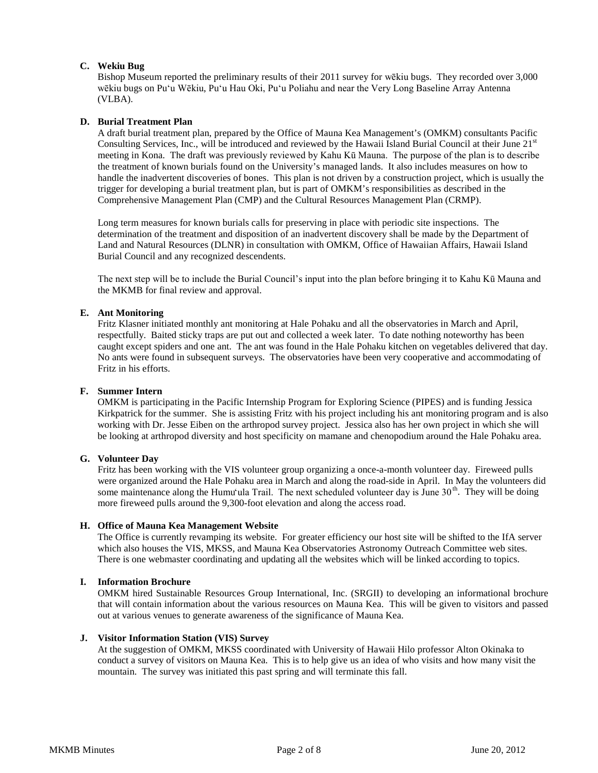## **C. Wekiu Bug**

Bishop Museum reported the preliminary results of their 2011 survey for wēkiu bugs. They recorded over 3,000 wēkiu bugs on Puʻu Wēkiu, Puʻu Hau Oki, Puʻu Poliahu and near the Very Long Baseline Array Antenna (VLBA).

### **D. Burial Treatment Plan**

A draft burial treatment plan, prepared by the Office of Mauna Kea Management's (OMKM) consultants Pacific Consulting Services, Inc., will be introduced and reviewed by the Hawaii Island Burial Council at their June 21<sup>st</sup> meeting in Kona. The draft was previously reviewed by Kahu Kū Mauna. The purpose of the plan is to describe the treatment of known burials found on the University's managed lands. It also includes measures on how to handle the inadvertent discoveries of bones. This plan is not driven by a construction project, which is usually the trigger for developing a burial treatment plan, but is part of OMKM's responsibilities as described in the Comprehensive Management Plan (CMP) and the Cultural Resources Management Plan (CRMP).

Long term measures for known burials calls for preserving in place with periodic site inspections. The determination of the treatment and disposition of an inadvertent discovery shall be made by the Department of Land and Natural Resources (DLNR) in consultation with OMKM, Office of Hawaiian Affairs, Hawaii Island Burial Council and any recognized descendents.

The next step will be to include the Burial Council's input into the plan before bringing it to Kahu Kū Mauna and the MKMB for final review and approval.

### **E. Ant Monitoring**

Fritz Klasner initiated monthly ant monitoring at Hale Pohaku and all the observatories in March and April, respectfully. Baited sticky traps are put out and collected a week later. To date nothing noteworthy has been caught except spiders and one ant. The ant was found in the Hale Pohaku kitchen on vegetables delivered that day. No ants were found in subsequent surveys. The observatories have been very cooperative and accommodating of Fritz in his efforts.

### **F. Summer Intern**

OMKM is participating in the Pacific Internship Program for Exploring Science (PIPES) and is funding Jessica Kirkpatrick for the summer. She is assisting Fritz with his project including his ant monitoring program and is also working with Dr. Jesse Eiben on the arthropod survey project. Jessica also has her own project in which she will be looking at arthropod diversity and host specificity on mamane and chenopodium around the Hale Pohaku area.

#### **G. Volunteer Day**

Fritz has been working with the VIS volunteer group organizing a once-a-month volunteer day. Fireweed pulls were organized around the Hale Pohaku area in March and along the road-side in April. In May the volunteers did some maintenance along the Humu'ula Trail. The next scheduled volunteer day is June  $30<sup>th</sup>$ . They will be doing more fireweed pulls around the 9,300-foot elevation and along the access road.

### **H. Office of Mauna Kea Management Website**

The Office is currently revamping its website. For greater efficiency our host site will be shifted to the IfA server which also houses the VIS, MKSS, and Mauna Kea Observatories Astronomy Outreach Committee web sites. There is one webmaster coordinating and updating all the websites which will be linked according to topics.

# **I. Information Brochure**

OMKM hired Sustainable Resources Group International, Inc. (SRGII) to developing an informational brochure that will contain information about the various resources on Mauna Kea. This will be given to visitors and passed out at various venues to generate awareness of the significance of Mauna Kea.

### **J. Visitor Information Station (VIS) Survey**

At the suggestion of OMKM, MKSS coordinated with University of Hawaii Hilo professor Alton Okinaka to conduct a survey of visitors on Mauna Kea. This is to help give us an idea of who visits and how many visit the mountain. The survey was initiated this past spring and will terminate this fall.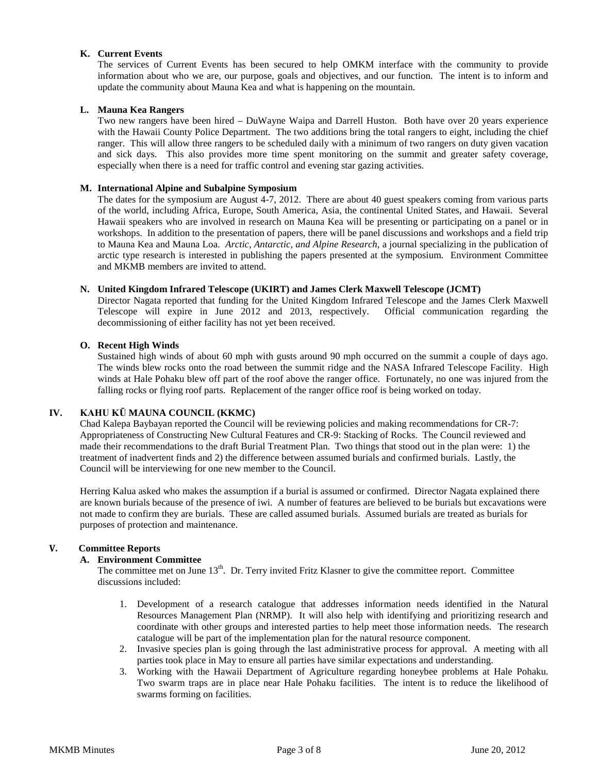## **K. Current Events**

The services of Current Events has been secured to help OMKM interface with the community to provide information about who we are, our purpose, goals and objectives, and our function. The intent is to inform and update the community about Mauna Kea and what is happening on the mountain.

## **L. Mauna Kea Rangers**

Two new rangers have been hired – DuWayne Waipa and Darrell Huston. Both have over 20 years experience with the Hawaii County Police Department. The two additions bring the total rangers to eight, including the chief ranger. This will allow three rangers to be scheduled daily with a minimum of two rangers on duty given vacation and sick days. This also provides more time spent monitoring on the summit and greater safety coverage, especially when there is a need for traffic control and evening star gazing activities.

### **M. International Alpine and Subalpine Symposium**

The dates for the symposium are August 4-7, 2012. There are about 40 guest speakers coming from various parts of the world, including Africa, Europe, South America, Asia, the continental United States, and Hawaii. Several Hawaii speakers who are involved in research on Mauna Kea will be presenting or participating on a panel or in workshops. In addition to the presentation of papers, there will be panel discussions and workshops and a field trip to Mauna Kea and Mauna Loa. *Arctic, Antarctic, and Alpine Research*, a journal specializing in the publication of arctic type research is interested in publishing the papers presented at the symposium. Environment Committee and MKMB members are invited to attend.

### **N. United Kingdom Infrared Telescope (UKIRT) and James Clerk Maxwell Telescope (JCMT)**

Director Nagata reported that funding for the United Kingdom Infrared Telescope and the James Clerk Maxwell Telescope will expire in June 2012 and 2013, respectively. Official communication regarding the decommissioning of either facility has not yet been received.

### **O. Recent High Winds**

Sustained high winds of about 60 mph with gusts around 90 mph occurred on the summit a couple of days ago. The winds blew rocks onto the road between the summit ridge and the NASA Infrared Telescope Facility. High winds at Hale Pohaku blew off part of the roof above the ranger office. Fortunately, no one was injured from the falling rocks or flying roof parts. Replacement of the ranger office roof is being worked on today.

### **IV. KAHU KŪ MAUNA COUNCIL (KKMC)**

Chad Kalepa Baybayan reported the Council will be reviewing policies and making recommendations for CR-7: Appropriateness of Constructing New Cultural Features and CR-9: Stacking of Rocks. The Council reviewed and made their recommendations to the draft Burial Treatment Plan. Two things that stood out in the plan were: 1) the treatment of inadvertent finds and 2) the difference between assumed burials and confirmed burials. Lastly, the Council will be interviewing for one new member to the Council.

Herring Kalua asked who makes the assumption if a burial is assumed or confirmed. Director Nagata explained there are known burials because of the presence of iwi. A number of features are believed to be burials but excavations were not made to confirm they are burials. These are called assumed burials. Assumed burials are treated as burials for purposes of protection and maintenance.

### **V. Committee Reports**

### **A. Environment Committee**

The committee met on June 13<sup>th</sup>. Dr. Terry invited Fritz Klasner to give the committee report. Committee discussions included:

- 1. Development of a research catalogue that addresses information needs identified in the Natural Resources Management Plan (NRMP). It will also help with identifying and prioritizing research and coordinate with other groups and interested parties to help meet those information needs. The research catalogue will be part of the implementation plan for the natural resource component.
- 2. Invasive species plan is going through the last administrative process for approval. A meeting with all parties took place in May to ensure all parties have similar expectations and understanding.
- 3. Working with the Hawaii Department of Agriculture regarding honeybee problems at Hale Pohaku. Two swarm traps are in place near Hale Pohaku facilities. The intent is to reduce the likelihood of swarms forming on facilities.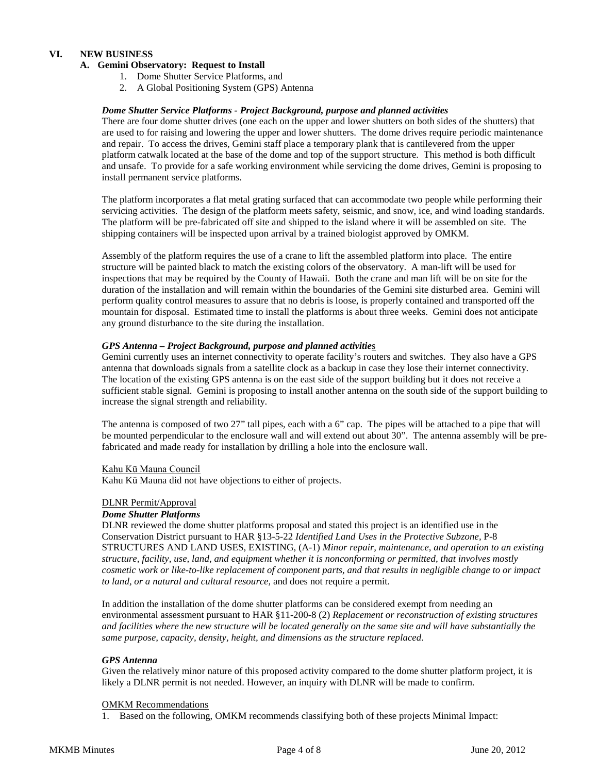## **VI. NEW BUSINESS**

### **A. Gemini Observatory: Request to Install**

- 1. Dome Shutter Service Platforms, and
- 2. A Global Positioning System (GPS) Antenna

### *Dome Shutter Service Platforms - Project Background, purpose and planned activities*

There are four dome shutter drives (one each on the upper and lower shutters on both sides of the shutters) that are used to for raising and lowering the upper and lower shutters. The dome drives require periodic maintenance and repair. To access the drives, Gemini staff place a temporary plank that is cantilevered from the upper platform catwalk located at the base of the dome and top of the support structure. This method is both difficult and unsafe. To provide for a safe working environment while servicing the dome drives, Gemini is proposing to install permanent service platforms.

The platform incorporates a flat metal grating surfaced that can accommodate two people while performing their servicing activities. The design of the platform meets safety, seismic, and snow, ice, and wind loading standards. The platform will be pre-fabricated off site and shipped to the island where it will be assembled on site. The shipping containers will be inspected upon arrival by a trained biologist approved by OMKM.

Assembly of the platform requires the use of a crane to lift the assembled platform into place. The entire structure will be painted black to match the existing colors of the observatory. A man-lift will be used for inspections that may be required by the County of Hawaii. Both the crane and man lift will be on site for the duration of the installation and will remain within the boundaries of the Gemini site disturbed area. Gemini will perform quality control measures to assure that no debris is loose, is properly contained and transported off the mountain for disposal. Estimated time to install the platforms is about three weeks. Gemini does not anticipate any ground disturbance to the site during the installation.

## *GPS Antenna – Project Background, purpose and planned activitie*s

Gemini currently uses an internet connectivity to operate facility's routers and switches. They also have a GPS antenna that downloads signals from a satellite clock as a backup in case they lose their internet connectivity. The location of the existing GPS antenna is on the east side of the support building but it does not receive a sufficient stable signal. Gemini is proposing to install another antenna on the south side of the support building to increase the signal strength and reliability.

The antenna is composed of two 27" tall pipes, each with a 6" cap. The pipes will be attached to a pipe that will be mounted perpendicular to the enclosure wall and will extend out about 30". The antenna assembly will be prefabricated and made ready for installation by drilling a hole into the enclosure wall.

Kahu Kū Mauna Council

Kahu Kū Mauna did not have objections to either of projects.

#### DLNR Permit/Approval

#### *Dome Shutter Platforms*

DLNR reviewed the dome shutter platforms proposal and stated this project is an identified use in the Conservation District pursuant to HAR §13-5-22 *Identified Land Uses in the Protective Subzone,* P-8 STRUCTURES AND LAND USES, EXISTING, (A-1) *Minor repair, maintenance, and operation to an existing structure, facility, use, land, and equipment whether it is nonconforming or permitted, that involves mostly cosmetic work or like-to-like replacement of component parts, and that results in negligible change to or impact to land, or a natural and cultural resource,* and does not require a permit.

In addition the installation of the dome shutter platforms can be considered exempt from needing an environmental assessment pursuant to HAR §11-200-8 (2) *Replacement or reconstruction of existing structures and facilities where the new structure will be located generally on the same site and will have substantially the same purpose, capacity, density, height, and dimensions as the structure replaced*.

### *GPS Antenna*

Given the relatively minor nature of this proposed activity compared to the dome shutter platform project, it is likely a DLNR permit is not needed. However, an inquiry with DLNR will be made to confirm.

#### OMKM Recommendations

1. Based on the following, OMKM recommends classifying both of these projects Minimal Impact: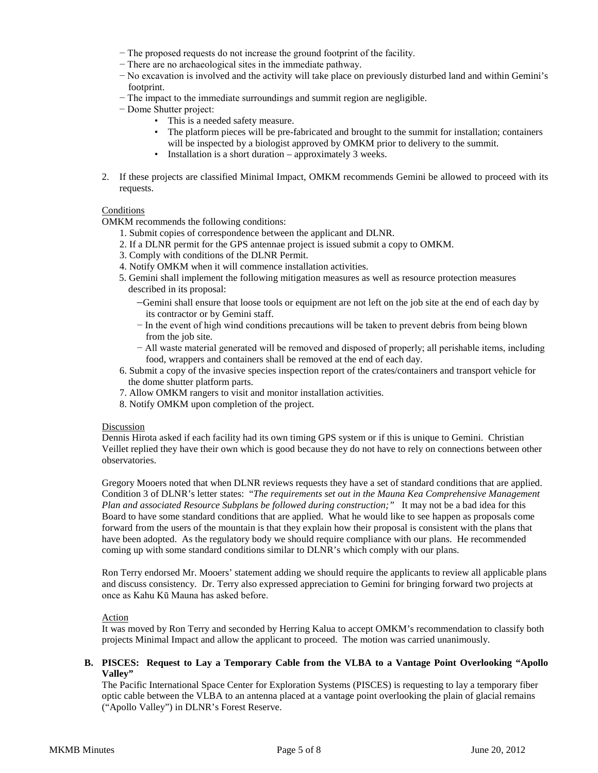- − The proposed requests do not increase the ground footprint of the facility.
- − There are no archaeological sites in the immediate pathway.
- − No excavation is involved and the activity will take place on previously disturbed land and within Gemini's footprint.
- − The impact to the immediate surroundings and summit region are negligible.
- − Dome Shutter project:
	- This is a needed safety measure.
	- The platform pieces will be pre-fabricated and brought to the summit for installation; containers will be inspected by a biologist approved by OMKM prior to delivery to the summit.
	- Installation is a short duration approximately 3 weeks.
- 2. If these projects are classified Minimal Impact, OMKM recommends Gemini be allowed to proceed with its requests.

### Conditions

OMKM recommends the following conditions:

- 1. Submit copies of correspondence between the applicant and DLNR.
- 2. If a DLNR permit for the GPS antennae project is issued submit a copy to OMKM.
- 3. Comply with conditions of the DLNR Permit.
- 4. Notify OMKM when it will commence installation activities.
- 5. Gemini shall implement the following mitigation measures as well as resource protection measures described in its proposal:
	- −Gemini shall ensure that loose tools or equipment are not left on the job site at the end of each day by its contractor or by Gemini staff.
	- − In the event of high wind conditions precautions will be taken to prevent debris from being blown from the job site.
	- − All waste material generated will be removed and disposed of properly; all perishable items, including food, wrappers and containers shall be removed at the end of each day.
- 6. Submit a copy of the invasive species inspection report of the crates/containers and transport vehicle for the dome shutter platform parts.
- 7. Allow OMKM rangers to visit and monitor installation activities.
- 8. Notify OMKM upon completion of the project.

#### Discussion

Dennis Hirota asked if each facility had its own timing GPS system or if this is unique to Gemini. Christian Veillet replied they have their own which is good because they do not have to rely on connections between other observatories.

Gregory Mooers noted that when DLNR reviews requests they have a set of standard conditions that are applied. Condition 3 of DLNR's letter states: "*The requirements set out in the Mauna Kea Comprehensive Management Plan and associated Resource Subplans be followed during construction;"* It may not be a bad idea for this Board to have some standard conditions that are applied. What he would like to see happen as proposals come forward from the users of the mountain is that they explain how their proposal is consistent with the plans that have been adopted. As the regulatory body we should require compliance with our plans. He recommended coming up with some standard conditions similar to DLNR's which comply with our plans.

Ron Terry endorsed Mr. Mooers' statement adding we should require the applicants to review all applicable plans and discuss consistency. Dr. Terry also expressed appreciation to Gemini for bringing forward two projects at once as Kahu Kū Mauna has asked before.

#### **Action**

It was moved by Ron Terry and seconded by Herring Kalua to accept OMKM's recommendation to classify both projects Minimal Impact and allow the applicant to proceed. The motion was carried unanimously.

### **B. PISCES: Request to Lay a Temporary Cable from the VLBA to a Vantage Point Overlooking "Apollo Valley"**

The Pacific International Space Center for Exploration Systems (PISCES) is requesting to lay a temporary fiber optic cable between the VLBA to an antenna placed at a vantage point overlooking the plain of glacial remains ("Apollo Valley") in DLNR's Forest Reserve.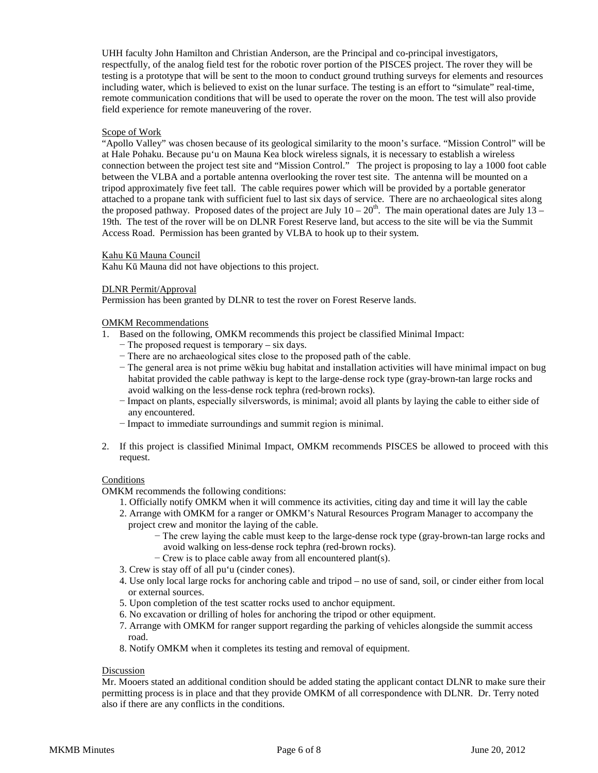UHH faculty John Hamilton and Christian Anderson, are the Principal and co-principal investigators, respectfully, of the analog field test for the robotic rover portion of the PISCES project. The rover they will be testing is a prototype that will be sent to the moon to conduct ground truthing surveys for elements and resources including water, which is believed to exist on the lunar surface. The testing is an effort to "simulate" real-time, remote communication conditions that will be used to operate the rover on the moon. The test will also provide field experience for remote maneuvering of the rover.

### Scope of Work

"Apollo Valley" was chosen because of its geological similarity to the moon's surface. "Mission Control" will be at Hale Pohaku. Because pu'u on Mauna Kea block wireless signals, it is necessary to establish a wireless connection between the project test site and "Mission Control." The project is proposing to lay a 1000 foot cable between the VLBA and a portable antenna overlooking the rover test site. The antenna will be mounted on a tripod approximately five feet tall. The cable requires power which will be provided by a portable generator attached to a propane tank with sufficient fuel to last six days of service. There are no archaeological sites along the proposed pathway. Proposed dates of the project are July  $10-20<sup>th</sup>$ . The main operational dates are July  $13-$ 19th. The test of the rover will be on DLNR Forest Reserve land, but access to the site will be via the Summit Access Road. Permission has been granted by VLBA to hook up to their system.

### Kahu Kū Mauna Council

Kahu Kū Mauna did not have objections to this project.

#### DLNR Permit/Approval

Permission has been granted by DLNR to test the rover on Forest Reserve lands.

## OMKM Recommendations

- 1. Based on the following, OMKM recommends this project be classified Minimal Impact:
	- − The proposed request is temporary six days.
	- − There are no archaeological sites close to the proposed path of the cable.
	- − The general area is not prime wēkiu bug habitat and installation activities will have minimal impact on bug habitat provided the cable pathway is kept to the large-dense rock type (gray-brown-tan large rocks and avoid walking on the less-dense rock tephra (red-brown rocks).
	- − Impact on plants, especially silverswords, is minimal; avoid all plants by laying the cable to either side of any encountered.
	- − Impact to immediate surroundings and summit region is minimal.
- 2. If this project is classified Minimal Impact, OMKM recommends PISCES be allowed to proceed with this request.

## **Conditions**

OMKM recommends the following conditions:

- 1. Officially notify OMKM when it will commence its activities, citing day and time it will lay the cable
- 2. Arrange with OMKM for a ranger or OMKM's Natural Resources Program Manager to accompany the project crew and monitor the laying of the cable.
	- − The crew laying the cable must keep to the large-dense rock type (gray-brown-tan large rocks and avoid walking on less-dense rock tephra (red-brown rocks).
	- − Crew is to place cable away from all encountered plant(s).
- 3. Crew is stay off of all pu'u (cinder cones).
- 4. Use only local large rocks for anchoring cable and tripod no use of sand, soil, or cinder either from local or external sources.
- 5. Upon completion of the test scatter rocks used to anchor equipment.
- 6. No excavation or drilling of holes for anchoring the tripod or other equipment.
- 7. Arrange with OMKM for ranger support regarding the parking of vehicles alongside the summit access road.
- 8. Notify OMKM when it completes its testing and removal of equipment.

# Discussion

Mr. Mooers stated an additional condition should be added stating the applicant contact DLNR to make sure their permitting process is in place and that they provide OMKM of all correspondence with DLNR. Dr. Terry noted also if there are any conflicts in the conditions.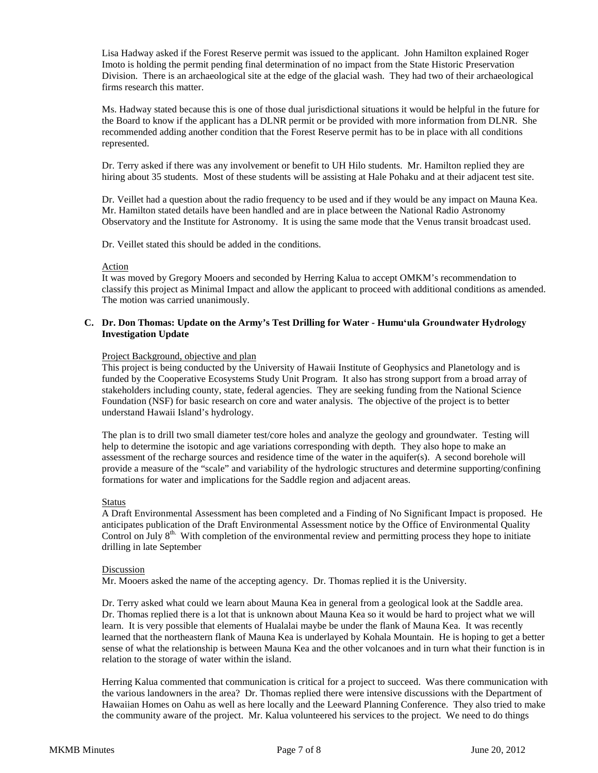Lisa Hadway asked if the Forest Reserve permit was issued to the applicant. John Hamilton explained Roger Imoto is holding the permit pending final determination of no impact from the State Historic Preservation Division. There is an archaeological site at the edge of the glacial wash. They had two of their archaeological firms research this matter.

Ms. Hadway stated because this is one of those dual jurisdictional situations it would be helpful in the future for the Board to know if the applicant has a DLNR permit or be provided with more information from DLNR. She recommended adding another condition that the Forest Reserve permit has to be in place with all conditions represented.

Dr. Terry asked if there was any involvement or benefit to UH Hilo students. Mr. Hamilton replied they are hiring about 35 students. Most of these students will be assisting at Hale Pohaku and at their adjacent test site.

Dr. Veillet had a question about the radio frequency to be used and if they would be any impact on Mauna Kea. Mr. Hamilton stated details have been handled and are in place between the National Radio Astronomy Observatory and the Institute for Astronomy. It is using the same mode that the Venus transit broadcast used.

Dr. Veillet stated this should be added in the conditions.

#### Action

It was moved by Gregory Mooers and seconded by Herring Kalua to accept OMKM's recommendation to classify this project as Minimal Impact and allow the applicant to proceed with additional conditions as amended. The motion was carried unanimously.

### **C. Dr. Don Thomas: Update on the Army's Test Drilling for Water - Humuʻula Groundwater Hydrology Investigation Update**

#### Project Background, objective and plan

This project is being conducted by the University of Hawaii Institute of Geophysics and Planetology and is funded by the Cooperative Ecosystems Study Unit Program. It also has strong support from a broad array of stakeholders including county, state, federal agencies. They are seeking funding from the National Science Foundation (NSF) for basic research on core and water analysis. The objective of the project is to better understand Hawaii Island's hydrology.

The plan is to drill two small diameter test/core holes and analyze the geology and groundwater. Testing will help to determine the isotopic and age variations corresponding with depth. They also hope to make an assessment of the recharge sources and residence time of the water in the aquifer(s). A second borehole will provide a measure of the "scale" and variability of the hydrologic structures and determine supporting/confining formations for water and implications for the Saddle region and adjacent areas.

#### Status

A Draft Environmental Assessment has been completed and a Finding of No Significant Impact is proposed. He anticipates publication of the Draft Environmental Assessment notice by the Office of Environmental Quality Control on  $\tilde{J}$ uly  $8<sup>th</sup>$ . With completion of the environmental review and permitting process they hope to initiate drilling in late September

#### Discussion

Mr. Mooers asked the name of the accepting agency. Dr. Thomas replied it is the University.

Dr. Terry asked what could we learn about Mauna Kea in general from a geological look at the Saddle area. Dr. Thomas replied there is a lot that is unknown about Mauna Kea so it would be hard to project what we will learn. It is very possible that elements of Hualalai maybe be under the flank of Mauna Kea. It was recently learned that the northeastern flank of Mauna Kea is underlayed by Kohala Mountain. He is hoping to get a better sense of what the relationship is between Mauna Kea and the other volcanoes and in turn what their function is in relation to the storage of water within the island.

Herring Kalua commented that communication is critical for a project to succeed. Was there communication with the various landowners in the area? Dr. Thomas replied there were intensive discussions with the Department of Hawaiian Homes on Oahu as well as here locally and the Leeward Planning Conference. They also tried to make the community aware of the project. Mr. Kalua volunteered his services to the project. We need to do things